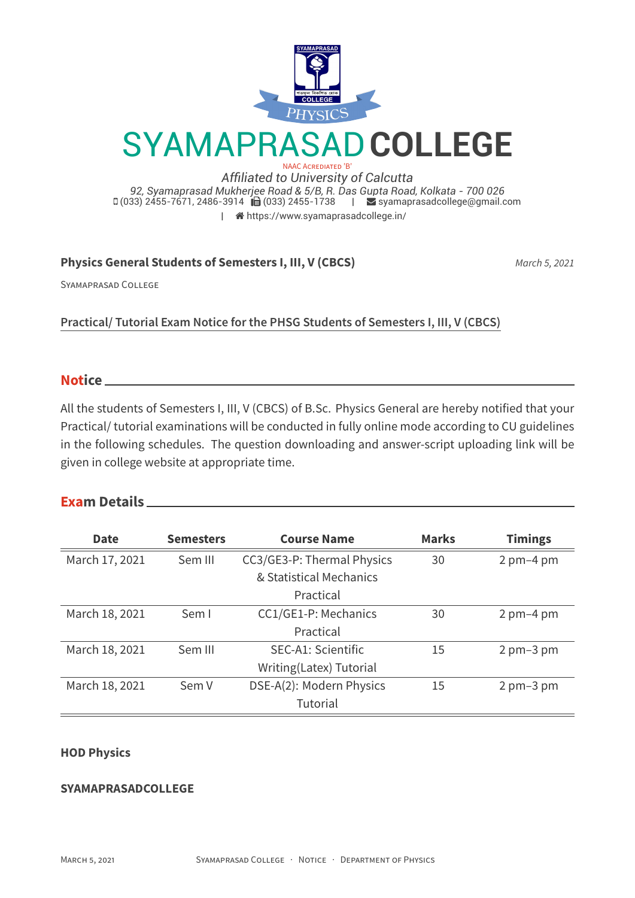

 $\Box$  (033) 2455-7671, 2486-3914  $\Box$  (033) 2455-1738  $\Box$  [syamaprasadcollege@gmail.com](mailto:syamaprasadcollege@gmail.com) | [https://www.syamaprasadcollege.in/](http://https://www.syamaprasadcollege.in/)

# **Physics General Students of Semesters I, III, V (CBCS)** *March 5, 2021*

SYAMAPRASAD COLLEGE

**Practical/ Tutorial Exam Notice for the PHSG Students of Semesters I, III, V (CBCS)**

#### **Notice**

All the students of Semesters I, III, V (CBCS) of B.Sc. Physics General are hereby notified that your Practical/ tutorial examinations will be conducted in fully online mode according to CU guidelines in the following schedules. The question downloading and answer-script uploading link will be given in college website at appropriate time.

## **Exam Details**

| <b>Date</b>    | <b>Semesters</b> | <b>Course Name</b>         | <b>Marks</b> | <b>Timings</b>              |  |
|----------------|------------------|----------------------------|--------------|-----------------------------|--|
| March 17, 2021 | Sem III          | CC3/GE3-P: Thermal Physics | 30           | $2 \text{ pm}-4 \text{ pm}$ |  |
|                |                  | & Statistical Mechanics    |              |                             |  |
|                |                  | Practical                  |              |                             |  |
| March 18, 2021 | Sem I            | CC1/GE1-P: Mechanics       | 30           | $2 \text{ pm}-4 \text{ pm}$ |  |
|                |                  | Practical                  |              |                             |  |
| March 18, 2021 | Sem III          | SEC-A1: Scientific         | 15           | $2 \text{ pm}-3 \text{ pm}$ |  |
|                |                  | Writing(Latex) Tutorial    |              |                             |  |
| March 18, 2021 | Sem V            | DSE-A(2): Modern Physics   | 15           | $2 \text{ pm}-3 \text{ pm}$ |  |
|                |                  | Tutorial                   |              |                             |  |

## **HOD Physics**

#### **SYAMAPRASADCOLLEGE**